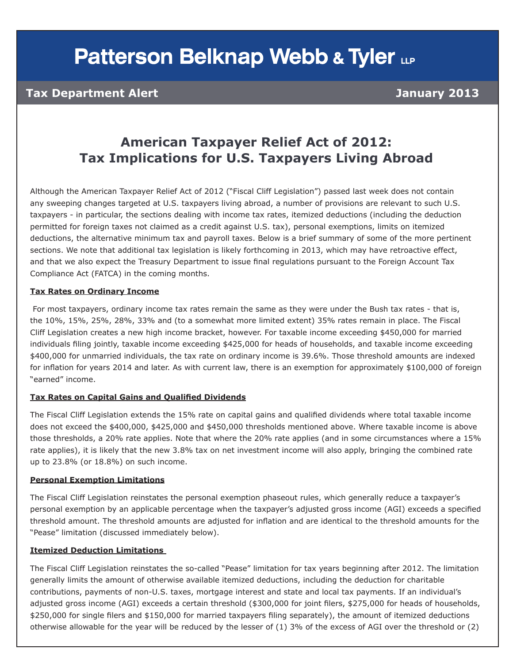# **Patterson Belknap Webb & Tyler LLP**

### **Tax Department Alert 1999 Contract Contract Contract Contract Contract Contract Contract Contract Contract Contract Contract Contract Contract Contract Contract Contract Contract Contract Contract Contract Contract Contra**

### **American Taxpayer Relief Act of 2012: Tax Implications for U.S. Taxpayers Living Abroad**

Although the American Taxpayer Relief Act of 2012 ("Fiscal Cliff Legislation") passed last week does not contain any sweeping changes targeted at U.S. taxpayers living abroad, a number of provisions are relevant to such U.S. taxpayers - in particular, the sections dealing with income tax rates, itemized deductions (including the deduction permitted for foreign taxes not claimed as a credit against U.S. tax), personal exemptions, limits on itemized deductions, the alternative minimum tax and payroll taxes. Below is a brief summary of some of the more pertinent sections. We note that additional tax legislation is likely forthcoming in 2013, which may have retroactive effect, and that we also expect the Treasury Department to issue final regulations pursuant to the Foreign Account Tax Compliance Act (FATCA) in the coming months.

#### **Tax Rates on Ordinary Income**

 For most taxpayers, ordinary income tax rates remain the same as they were under the Bush tax rates - that is, the 10%, 15%, 25%, 28%, 33% and (to a somewhat more limited extent) 35% rates remain in place. The Fiscal Cliff Legislation creates a new high income bracket, however. For taxable income exceeding \$450,000 for married individuals filing jointly, taxable income exceeding \$425,000 for heads of households, and taxable income exceeding \$400,000 for unmarried individuals, the tax rate on ordinary income is 39.6%. Those threshold amounts are indexed for inflation for years 2014 and later. As with current law, there is an exemption for approximately \$100,000 of foreign "earned" income.

#### **Tax Rates on Capital Gains and Qualified Dividends**

The Fiscal Cliff Legislation extends the 15% rate on capital gains and qualified dividends where total taxable income does not exceed the \$400,000, \$425,000 and \$450,000 thresholds mentioned above. Where taxable income is above those thresholds, a 20% rate applies. Note that where the 20% rate applies (and in some circumstances where a 15% rate applies), it is likely that the new 3.8% tax on net investment income will also apply, bringing the combined rate up to 23.8% (or 18.8%) on such income.

#### **Personal Exemption Limitations**

The Fiscal Cliff Legislation reinstates the personal exemption phaseout rules, which generally reduce a taxpayer's personal exemption by an applicable percentage when the taxpayer's adjusted gross income (AGI) exceeds a specified threshold amount. The threshold amounts are adjusted for inflation and are identical to the threshold amounts for the "Pease" limitation (discussed immediately below).

#### **Itemized Deduction Limitations**

The Fiscal Cliff Legislation reinstates the so-called "Pease" limitation for tax years beginning after 2012. The limitation generally limits the amount of otherwise available itemized deductions, including the deduction for charitable contributions, payments of non-U.S. taxes, mortgage interest and state and local tax payments. If an individual's adjusted gross income (AGI) exceeds a certain threshold (\$300,000 for joint filers, \$275,000 for heads of households, \$250,000 for single filers and \$150,000 for married taxpayers filing separately), the amount of itemized deductions otherwise allowable for the year will be reduced by the lesser of (1) 3% of the excess of AGI over the threshold or (2)